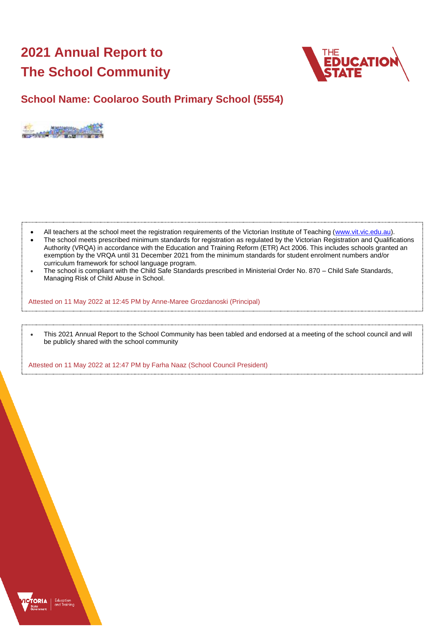# **2021 Annual Report to The School Community**



## **School Name: Coolaroo South Primary School (5554)**



- All teachers at the school meet the registration requirements of the Victorian Institute of Teaching [\(www.vit.vic.edu.au\)](https://www.vit.vic.edu.au/).
- The school meets prescribed minimum standards for registration as regulated by the Victorian Registration and Qualifications Authority (VRQA) in accordance with the Education and Training Reform (ETR) Act 2006. This includes schools granted an exemption by the VRQA until 31 December 2021 from the minimum standards for student enrolment numbers and/or curriculum framework for school language program.
- The school is compliant with the Child Safe Standards prescribed in Ministerial Order No. 870 Child Safe Standards, Managing Risk of Child Abuse in School.

Attested on 11 May 2022 at 12:45 PM by Anne-Maree Grozdanoski (Principal)

• This 2021 Annual Report to the School Community has been tabled and endorsed at a meeting of the school council and will be publicly shared with the school community

Attested on 11 May 2022 at 12:47 PM by Farha Naaz (School Council President)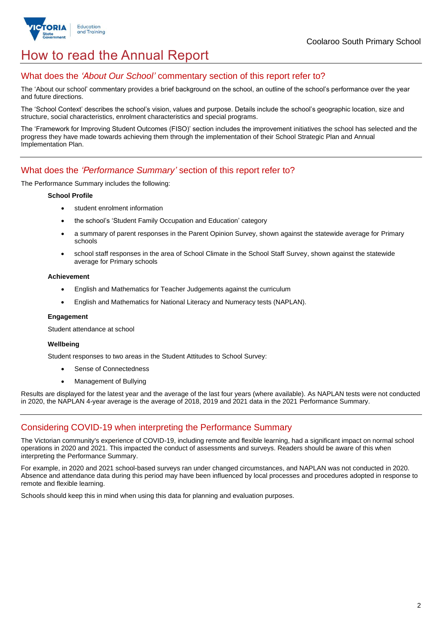

## How to read the Annual Report

### What does the *'About Our School'* commentary section of this report refer to?

The 'About our school' commentary provides a brief background on the school, an outline of the school's performance over the year and future directions.

The 'School Context' describes the school's vision, values and purpose. Details include the school's geographic location, size and structure, social characteristics, enrolment characteristics and special programs.

The 'Framework for Improving Student Outcomes (FISO)' section includes the improvement initiatives the school has selected and the progress they have made towards achieving them through the implementation of their School Strategic Plan and Annual Implementation Plan.

### What does the *'Performance Summary'* section of this report refer to?

The Performance Summary includes the following:

#### **School Profile**

- student enrolment information
- the school's 'Student Family Occupation and Education' category
- a summary of parent responses in the Parent Opinion Survey, shown against the statewide average for Primary schools
- school staff responses in the area of School Climate in the School Staff Survey, shown against the statewide average for Primary schools

#### **Achievement**

- English and Mathematics for Teacher Judgements against the curriculum
- English and Mathematics for National Literacy and Numeracy tests (NAPLAN).

#### **Engagement**

Student attendance at school

#### **Wellbeing**

Student responses to two areas in the Student Attitudes to School Survey:

- Sense of Connectedness
- Management of Bullying

Results are displayed for the latest year and the average of the last four years (where available). As NAPLAN tests were not conducted in 2020, the NAPLAN 4-year average is the average of 2018, 2019 and 2021 data in the 2021 Performance Summary.

## Considering COVID-19 when interpreting the Performance Summary

The Victorian community's experience of COVID-19, including remote and flexible learning, had a significant impact on normal school operations in 2020 and 2021. This impacted the conduct of assessments and surveys. Readers should be aware of this when interpreting the Performance Summary.

For example, in 2020 and 2021 school-based surveys ran under changed circumstances, and NAPLAN was not conducted in 2020. Absence and attendance data during this period may have been influenced by local processes and procedures adopted in response to remote and flexible learning.

Schools should keep this in mind when using this data for planning and evaluation purposes.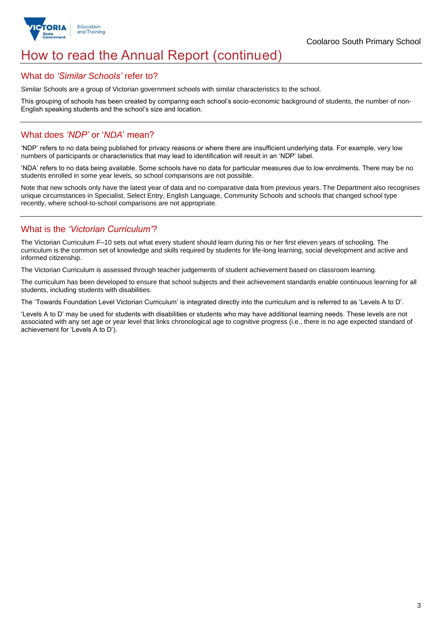

## How to read the Annual Report (continued)

#### What do *'Similar Schools'* refer to?

Similar Schools are a group of Victorian government schools with similar characteristics to the school.

This grouping of schools has been created by comparing each school's socio-economic background of students, the number of non-English speaking students and the school's size and location.

## What does *'NDP'* or '*NDA*' mean?

'NDP' refers to no data being published for privacy reasons or where there are insufficient underlying data. For example, very low numbers of participants or characteristics that may lead to identification will result in an 'NDP' label.

'NDA' refers to no data being available. Some schools have no data for particular measures due to low enrolments. There may be no students enrolled in some year levels, so school comparisons are not possible.

Note that new schools only have the latest year of data and no comparative data from previous years. The Department also recognises unique circumstances in Specialist, Select Entry, English Language, Community Schools and schools that changed school type recently, where school-to-school comparisons are not appropriate.

## What is the *'Victorian Curriculum'*?

The Victorian Curriculum F–10 sets out what every student should learn during his or her first eleven years of schooling. The curriculum is the common set of knowledge and skills required by students for life-long learning, social development and active and informed citizenship.

The Victorian Curriculum is assessed through teacher judgements of student achievement based on classroom learning.

The curriculum has been developed to ensure that school subjects and their achievement standards enable continuous learning for all students, including students with disabilities.

The 'Towards Foundation Level Victorian Curriculum' is integrated directly into the curriculum and is referred to as 'Levels A to D'.

'Levels A to D' may be used for students with disabilities or students who may have additional learning needs. These levels are not associated with any set age or year level that links chronological age to cognitive progress (i.e., there is no age expected standard of achievement for 'Levels A to D').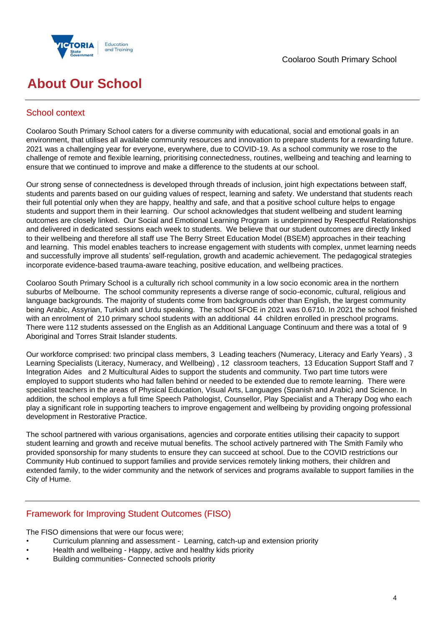



# **About Our School**

## School context

Coolaroo South Primary School caters for a diverse community with educational, social and emotional goals in an environment, that utilises all available community resources and innovation to prepare students for a rewarding future. 2021 was a challenging year for everyone, everywhere, due to COVID-19. As a school community we rose to the challenge of remote and flexible learning, prioritising connectedness, routines, wellbeing and teaching and learning to ensure that we continued to improve and make a difference to the students at our school.

Our strong sense of connectedness is developed through threads of inclusion, joint high expectations between staff, students and parents based on our guiding values of respect, learning and safety. We understand that students reach their full potential only when they are happy, healthy and safe, and that a positive school culture helps to engage students and support them in their learning. Our school acknowledges that student wellbeing and student learning outcomes are closely linked. Our Social and Emotional Learning Program is underpinned by Respectful Relationships and delivered in dedicated sessions each week to students. We believe that our student outcomes are directly linked to their wellbeing and therefore all staff use The Berry Street Education Model (BSEM) approaches in their teaching and learning. This model enables teachers to increase engagement with students with complex, unmet learning needs and successfully improve all students' self-regulation, growth and academic achievement. The pedagogical strategies incorporate evidence-based trauma-aware teaching, positive education, and wellbeing practices.

Coolaroo South Primary School is a culturally rich school community in a low socio economic area in the northern suburbs of Melbourne. The school community represents a diverse range of socio-economic, cultural, religious and language backgrounds. The majority of students come from backgrounds other than English, the largest community being Arabic, Assyrian, Turkish and Urdu speaking. The school SFOE in 2021 was 0.6710. In 2021 the school finished with an enrolment of 210 primary school students with an additional 44 children enrolled in preschool programs. There were 112 students assessed on the English as an Additional Language Continuum and there was a total of 9 Aboriginal and Torres Strait Islander students.

Our workforce comprised: two principal class members, 3 Leading teachers (Numeracy, Literacy and Early Years) , 3 Learning Specialists (Literacy, Numeracy, and Wellbeing) , 12 classroom teachers, 13 Education Support Staff and 7 Integration Aides and 2 Multicultural Aides to support the students and community. Two part time tutors were employed to support students who had fallen behind or needed to be extended due to remote learning. There were specialist teachers in the areas of Physical Education, Visual Arts, Languages (Spanish and Arabic) and Science. In addition, the school employs a full time Speech Pathologist, Counsellor, Play Specialist and a Therapy Dog who each play a significant role in supporting teachers to improve engagement and wellbeing by providing ongoing professional development in Restorative Practice.

The school partnered with various organisations, agencies and corporate entities utilising their capacity to support student learning and growth and receive mutual benefits. The school actively partnered with The Smith Family who provided sponsorship for many students to ensure they can succeed at school. Due to the COVID restrictions our Community Hub continued to support families and provide services remotely linking mothers, their children and extended family, to the wider community and the network of services and programs available to support families in the City of Hume.

## Framework for Improving Student Outcomes (FISO)

The FISO dimensions that were our focus were;

- Curriculum planning and assessment Learning, catch-up and extension priority
- Health and wellbeing Happy, active and healthy kids priority
- Building communities- Connected schools priority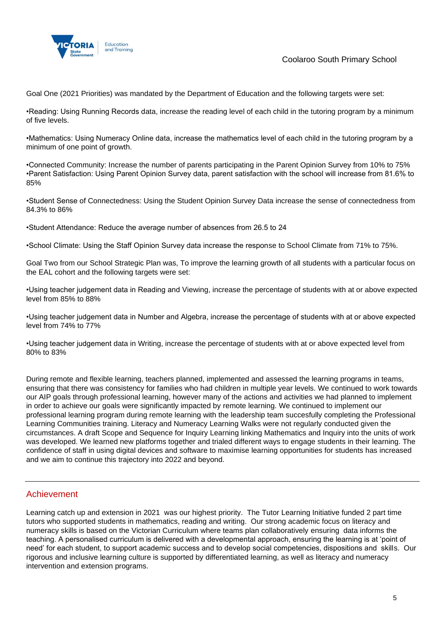

Coolaroo South Primary School

Goal One (2021 Priorities) was mandated by the Department of Education and the following targets were set:

•Reading: Using Running Records data, increase the reading level of each child in the tutoring program by a minimum of five levels.

•Mathematics: Using Numeracy Online data, increase the mathematics level of each child in the tutoring program by a minimum of one point of growth.

•Connected Community: Increase the number of parents participating in the Parent Opinion Survey from 10% to 75% •Parent Satisfaction: Using Parent Opinion Survey data, parent satisfaction with the school will increase from 81.6% to 85%

•Student Sense of Connectedness: Using the Student Opinion Survey Data increase the sense of connectedness from 84.3% to 86%

•Student Attendance: Reduce the average number of absences from 26.5 to 24

•School Climate: Using the Staff Opinion Survey data increase the response to School Climate from 71% to 75%.

Goal Two from our School Strategic Plan was, To improve the learning growth of all students with a particular focus on the EAL cohort and the following targets were set:

•Using teacher judgement data in Reading and Viewing, increase the percentage of students with at or above expected level from 85% to 88%

•Using teacher judgement data in Number and Algebra, increase the percentage of students with at or above expected level from 74% to 77%

•Using teacher judgement data in Writing, increase the percentage of students with at or above expected level from 80% to 83%

During remote and flexible learning, teachers planned, implemented and assessed the learning programs in teams, ensuring that there was consistency for families who had children in multiple year levels. We continued to work towards our AIP goals through professional learning, however many of the actions and activities we had planned to implement in order to achieve our goals were significantly impacted by remote learning. We continued to implement our professional learning program during remote learning with the leadership team succesfully completing the Professional Learning Communities training. Literacy and Numeracy Learning Walks were not regularly conducted given the circumstances. A draft Scope and Sequence for Inquiry Learning linking Mathematics and Inquiry into the units of work was developed. We learned new platforms together and trialed different ways to engage students in their learning. The confidence of staff in using digital devices and software to maximise learning opportunities for students has increased and we aim to continue this trajectory into 2022 and beyond.

### Achievement

Learning catch up and extension in 2021 was our highest priority. The Tutor Learning Initiative funded 2 part time tutors who supported students in mathematics, reading and writing. Our strong academic focus on literacy and numeracy skills is based on the Victorian Curriculum where teams plan collaboratively ensuring data informs the teaching. A personalised curriculum is delivered with a developmental approach, ensuring the learning is at 'point of need' for each student, to support academic success and to develop social competencies, dispositions and skills. Our rigorous and inclusive learning culture is supported by differentiated learning, as well as literacy and numeracy intervention and extension programs.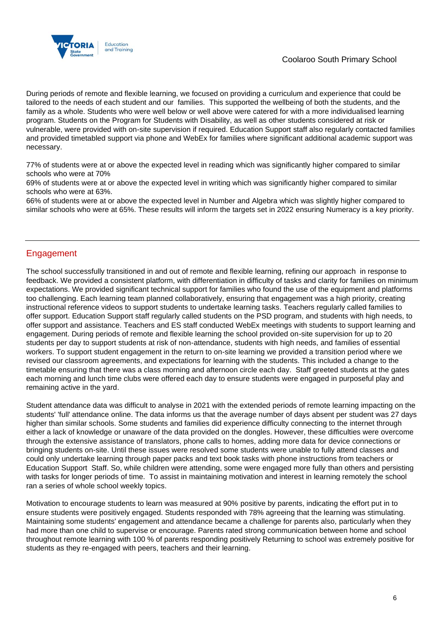

During periods of remote and flexible learning, we focused on providing a curriculum and experience that could be tailored to the needs of each student and our families. This supported the wellbeing of both the students, and the family as a whole. Students who were well below or well above were catered for with a more individualised learning program. Students on the Program for Students with Disability, as well as other students considered at risk or vulnerable, were provided with on-site supervision if required. Education Support staff also regularly contacted families and provided timetabled support via phone and WebEx for families where significant additional academic support was necessary.

77% of students were at or above the expected level in reading which was significantly higher compared to similar schools who were at 70%

69% of students were at or above the expected level in writing which was significantly higher compared to similar schools who were at 63%.

66% of students were at or above the expected level in Number and Algebra which was slightly higher compared to similar schools who were at 65%. These results will inform the targets set in 2022 ensuring Numeracy is a key priority.

## Engagement

The school successfully transitioned in and out of remote and flexible learning, refining our approach in response to feedback. We provided a consistent platform, with differentiation in difficulty of tasks and clarity for families on minimum expectations. We provided significant technical support for families who found the use of the equipment and platforms too challenging. Each learning team planned collaboratively, ensuring that engagement was a high priority, creating instructional reference videos to support students to undertake learning tasks. Teachers regularly called families to offer support. Education Support staff regularly called students on the PSD program, and students with high needs, to offer support and assistance. Teachers and ES staff conducted WebEx meetings with students to support learning and engagement. During periods of remote and flexible learning the school provided on-site supervision for up to 20 students per day to support students at risk of non-attendance, students with high needs, and families of essential workers. To support student engagement in the return to on-site learning we provided a transition period where we revised our classroom agreements, and expectations for learning with the students. This included a change to the timetable ensuring that there was a class morning and afternoon circle each day. Staff greeted students at the gates each morning and lunch time clubs were offered each day to ensure students were engaged in purposeful play and remaining active in the yard.

Student attendance data was difficult to analyse in 2021 with the extended periods of remote learning impacting on the students' 'full' attendance online. The data informs us that the average number of days absent per student was 27 days higher than similar schools. Some students and families did experience difficulty connecting to the internet through either a lack of knowledge or unaware of the data provided on the dongles. However, these difficulties were overcome through the extensive assistance of translators, phone calls to homes, adding more data for device connections or bringing students on-site. Until these issues were resolved some students were unable to fully attend classes and could only undertake learning through paper packs and text book tasks with phone instructions from teachers or Education Support Staff. So, while children were attending, some were engaged more fully than others and persisting with tasks for longer periods of time. To assist in maintaining motivation and interest in learning remotely the school ran a series of whole school weekly topics.

Motivation to encourage students to learn was measured at 90% positive by parents, indicating the effort put in to ensure students were positively engaged. Students responded with 78% agreeing that the learning was stimulating. Maintaining some students' engagement and attendance became a challenge for parents also, particularly when they had more than one child to supervise or encourage. Parents rated strong communication between home and school throughout remote learning with 100 % of parents responding positively Returning to school was extremely positive for students as they re-engaged with peers, teachers and their learning.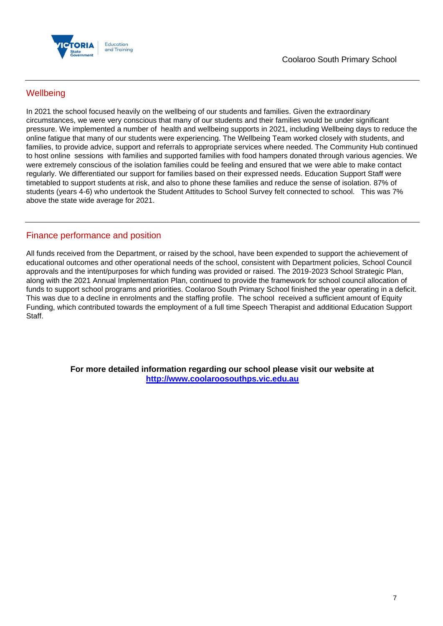

## **Wellbeing**

In 2021 the school focused heavily on the wellbeing of our students and families. Given the extraordinary circumstances, we were very conscious that many of our students and their families would be under significant pressure. We implemented a number of health and wellbeing supports in 2021, including Wellbeing days to reduce the online fatigue that many of our students were experiencing. The Wellbeing Team worked closely with students, and families, to provide advice, support and referrals to appropriate services where needed. The Community Hub continued to host online sessions with families and supported families with food hampers donated through various agencies. We were extremely conscious of the isolation families could be feeling and ensured that we were able to make contact regularly. We differentiated our support for families based on their expressed needs. Education Support Staff were timetabled to support students at risk, and also to phone these families and reduce the sense of isolation. 87% of students (years 4-6) who undertook the Student Attitudes to School Survey felt connected to school. This was 7% above the state wide average for 2021.

## Finance performance and position

All funds received from the Department, or raised by the school, have been expended to support the achievement of educational outcomes and other operational needs of the school, consistent with Department policies, School Council approvals and the intent/purposes for which funding was provided or raised. The 2019-2023 School Strategic Plan, along with the 2021 Annual Implementation Plan, continued to provide the framework for school council allocation of funds to support school programs and priorities. Coolaroo South Primary School finished the year operating in a deficit. This was due to a decline in enrolments and the staffing profile. The school received a sufficient amount of Equity Funding, which contributed towards the employment of a full time Speech Therapist and additional Education Support Staff.

> **For more detailed information regarding our school please visit our website at [http://www.coolaroosouthps.vic.edu.au](http://www.coolaroosouthps.vic.edu.au/)**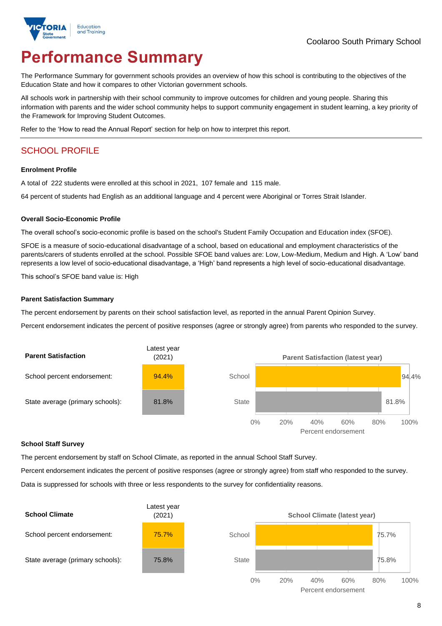

# **Performance Summary**

The Performance Summary for government schools provides an overview of how this school is contributing to the objectives of the Education State and how it compares to other Victorian government schools.

All schools work in partnership with their school community to improve outcomes for children and young people. Sharing this information with parents and the wider school community helps to support community engagement in student learning, a key priority of the Framework for Improving Student Outcomes.

Refer to the 'How to read the Annual Report' section for help on how to interpret this report.

## SCHOOL PROFILE

#### **Enrolment Profile**

A total of 222 students were enrolled at this school in 2021, 107 female and 115 male.

64 percent of students had English as an additional language and 4 percent were Aboriginal or Torres Strait Islander.

#### **Overall Socio-Economic Profile**

The overall school's socio-economic profile is based on the school's Student Family Occupation and Education index (SFOE).

SFOE is a measure of socio-educational disadvantage of a school, based on educational and employment characteristics of the parents/carers of students enrolled at the school. Possible SFOE band values are: Low, Low-Medium, Medium and High. A 'Low' band represents a low level of socio-educational disadvantage, a 'High' band represents a high level of socio-educational disadvantage.

This school's SFOE band value is: High

#### **Parent Satisfaction Summary**

The percent endorsement by parents on their school satisfaction level, as reported in the annual Parent Opinion Survey.

Percent endorsement indicates the percent of positive responses (agree or strongly agree) from parents who responded to the survey.



#### **School Staff Survey**

The percent endorsement by staff on School Climate, as reported in the annual School Staff Survey.

Percent endorsement indicates the percent of positive responses (agree or strongly agree) from staff who responded to the survey.

Data is suppressed for schools with three or less respondents to the survey for confidentiality reasons.

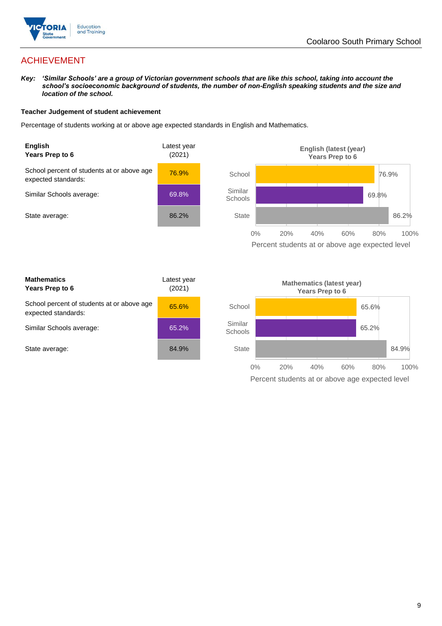

## ACHIEVEMENT

*Key: 'Similar Schools' are a group of Victorian government schools that are like this school, taking into account the school's socioeconomic background of students, the number of non-English speaking students and the size and location of the school.*

#### **Teacher Judgement of student achievement**

Percentage of students working at or above age expected standards in English and Mathematics.



Percent students at or above age expected level

| <b>Mathematics</b><br>Years Prep to 6                             | Latest year<br>(2021) |
|-------------------------------------------------------------------|-----------------------|
| School percent of students at or above age<br>expected standards: | 65.6%                 |
| Similar Schools average:                                          | 65.2%                 |
| State average:                                                    | 84.9%                 |

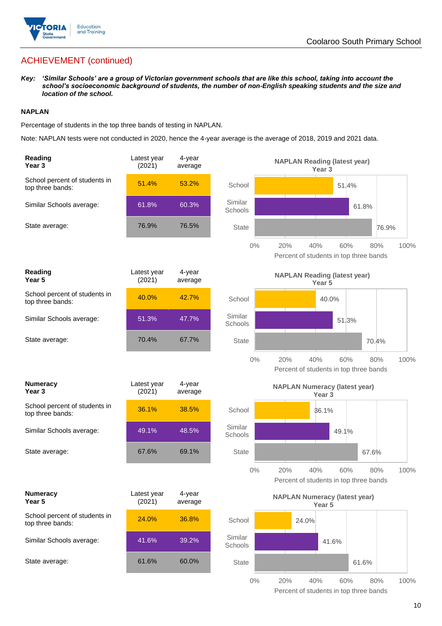

## ACHIEVEMENT (continued)

*Key: 'Similar Schools' are a group of Victorian government schools that are like this school, taking into account the school's socioeconomic background of students, the number of non-English speaking students and the size and location of the school.*

#### **NAPLAN**

Percentage of students in the top three bands of testing in NAPLAN.

Note: NAPLAN tests were not conducted in 2020, hence the 4-year average is the average of 2018, 2019 and 2021 data.

| Reading<br>Year <sub>3</sub>                      | Latest year<br>(2021) | 4-year<br>average |                    | <b>NAPLAN Reading (latest year)</b><br>Year <sub>3</sub>            |
|---------------------------------------------------|-----------------------|-------------------|--------------------|---------------------------------------------------------------------|
| School percent of students in<br>top three bands: | 51.4%                 | 53.2%             | School             | 51.4%                                                               |
| Similar Schools average:                          | 61.8%                 | 60.3%             | Similar<br>Schools | 61.8%                                                               |
| State average:                                    | 76.9%                 | 76.5%             | <b>State</b>       | 76.9%                                                               |
|                                                   |                       |                   | $0\%$<br>20%       | 40%<br>60%<br>100%<br>80%<br>Percent of students in top three bands |
| Reading<br>Year <sub>5</sub>                      | Latest year<br>(2021) | 4-year<br>average |                    | <b>NAPLAN Reading (latest year)</b><br>Year 5                       |
| School percent of students in<br>top three bands: | 40.0%                 | 42.7%             | School             | 40.0%                                                               |
| Similar Schools average:                          | 51.3%                 | 47.7%             | Similar<br>Schools | 51.3%                                                               |
| State average:                                    | 70.4%                 | 67.7%             | <b>State</b>       | 70.4%                                                               |
|                                                   |                       |                   | $0\%$<br>20%       | 40%<br>60%<br>80%<br>100%<br>Percent of students in top three bands |
|                                                   |                       |                   |                    |                                                                     |
| <b>Numeracy</b><br>Year <sub>3</sub>              | Latest year<br>(2021) | 4-year<br>average |                    | <b>NAPLAN Numeracy (latest year)</b><br>Year <sub>3</sub>           |
| School percent of students in<br>top three bands: | 36.1%                 | 38.5%             | School             | 36.1%                                                               |
| Similar Schools average:                          | 49.1%                 | 48.5%             | Similar<br>Schools | 49.1%                                                               |
| State average:                                    | 67.6%                 | 69.1%             | <b>State</b>       | 67.6%                                                               |
|                                                   |                       |                   | $0\%$<br>20%       | 40%<br>60%<br>80%<br>100%<br>Percent of students in top three bands |
| <b>Numeracy</b><br>Year 5                         | Latest year<br>(2021) | 4-year<br>average |                    | <b>NAPLAN Numeracy (latest year)</b><br>Year 5                      |
| School percent of students in<br>top three bands: | 24.0%                 | 36.8%             | School             | 24.0%                                                               |
| Similar Schools average:                          | 41.6%                 | 39.2%             | Similar<br>Schools | 41.6%                                                               |
| State average:                                    | 61.6%                 | 60.0%             | State              | 61.6%                                                               |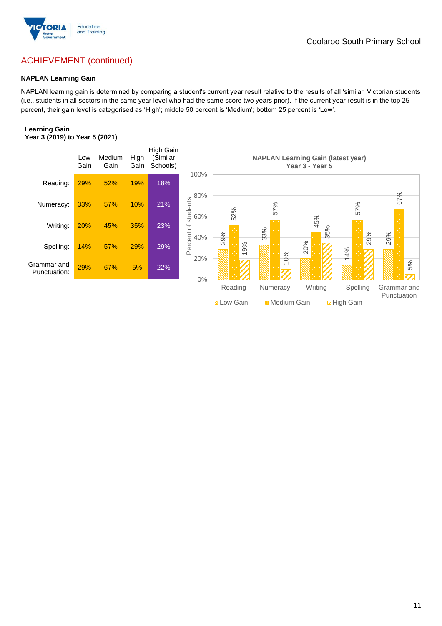

## ACHIEVEMENT (continued)

#### **NAPLAN Learning Gain**

NAPLAN learning gain is determined by comparing a student's current year result relative to the results of all 'similar' Victorian students (i.e., students in all sectors in the same year level who had the same score two years prior). If the current year result is in the top 25 percent, their gain level is categorised as 'High'; middle 50 percent is 'Medium'; bottom 25 percent is 'Low'.

#### **Learning Gain Year 3 (2019) to Year 5 (2021)**



**BLow Gain** Medium Gain **Example 10**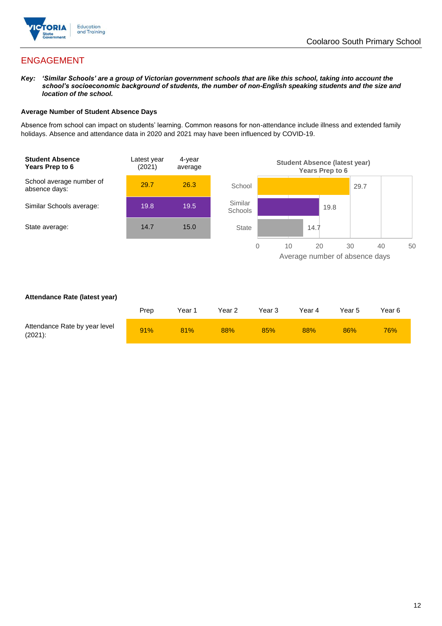

## ENGAGEMENT

*Key: 'Similar Schools' are a group of Victorian government schools that are like this school, taking into account the school's socioeconomic background of students, the number of non-English speaking students and the size and location of the school.*

#### **Average Number of Student Absence Days**

Absence from school can impact on students' learning. Common reasons for non-attendance include illness and extended family holidays. Absence and attendance data in 2020 and 2021 may have been influenced by COVID-19.



#### **Attendance Rate (latest year)**

|                                             | Prep | Year 1 | Year 2 | Year 3 | Year 4 | Year 5 | Year 6 |
|---------------------------------------------|------|--------|--------|--------|--------|--------|--------|
| Attendance Rate by year level<br>$(2021)$ : | 91%  | 81%    | 88%    | 85%    | 88%    | 86%    | 76%    |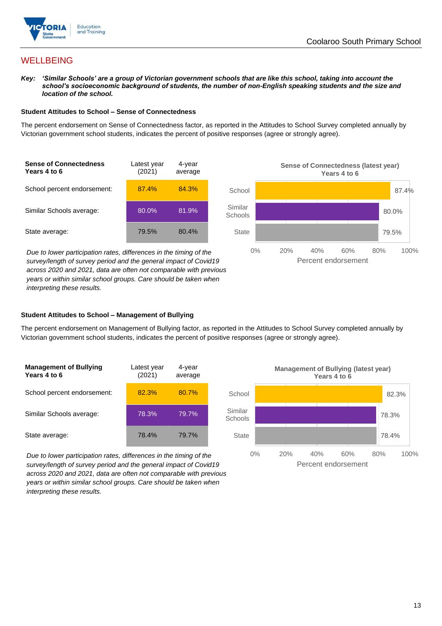

## **WELLBEING**

*Key: 'Similar Schools' are a group of Victorian government schools that are like this school, taking into account the school's socioeconomic background of students, the number of non-English speaking students and the size and location of the school.*

#### **Student Attitudes to School – Sense of Connectedness**

The percent endorsement on Sense of Connectedness factor, as reported in the Attitudes to School Survey completed annually by Victorian government school students, indicates the percent of positive responses (agree or strongly agree).

| <b>Sense of Connectedness</b><br>Years 4 to 6 | Latest year<br>(2021) | 4-year<br>average |
|-----------------------------------------------|-----------------------|-------------------|
| School percent endorsement:                   | 87.4%                 | 84.3%             |
| Similar Schools average:                      | $80.0\%$              | 81.9%             |
| State average:                                | 79.5%                 | 80.4%             |

*Due to lower participation rates, differences in the timing of the survey/length of survey period and the general impact of Covid19 across 2020 and 2021, data are often not comparable with previous years or within similar school groups. Care should be taken when interpreting these results.*



#### **Student Attitudes to School – Management of Bullying**

The percent endorsement on Management of Bullying factor, as reported in the Attitudes to School Survey completed annually by Victorian government school students, indicates the percent of positive responses (agree or strongly agree).

| <b>Management of Bullying</b><br>Years 4 to 6 | Latest year<br>(2021) | 4-year<br>average |  |
|-----------------------------------------------|-----------------------|-------------------|--|
| School percent endorsement:                   | 82.3%                 | 80.7%             |  |
| Similar Schools average:                      | 78.3%                 | 79.7%             |  |
| State average:                                | 78.4%                 | 79.7%             |  |

*Due to lower participation rates, differences in the timing of the survey/length of survey period and the general impact of Covid19 across 2020 and 2021, data are often not comparable with previous years or within similar school groups. Care should be taken when interpreting these results.*

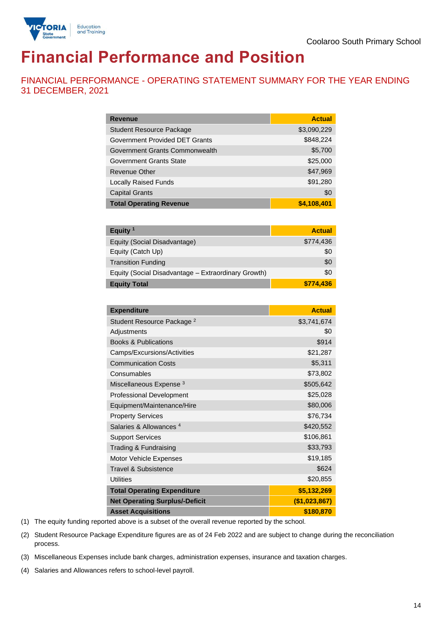

# **Financial Performance and Position**

FINANCIAL PERFORMANCE - OPERATING STATEMENT SUMMARY FOR THE YEAR ENDING 31 DECEMBER, 2021

| <b>Revenue</b>                  | <b>Actual</b> |
|---------------------------------|---------------|
| <b>Student Resource Package</b> | \$3,090,229   |
| Government Provided DET Grants  | \$848,224     |
| Government Grants Commonwealth  | \$5,700       |
| <b>Government Grants State</b>  | \$25,000      |
| Revenue Other                   | \$47,969      |
| <b>Locally Raised Funds</b>     | \$91,280      |
| <b>Capital Grants</b>           | \$0           |
| <b>Total Operating Revenue</b>  | \$4,108,401   |

| Equity $1$                                          | <b>Actual</b> |
|-----------------------------------------------------|---------------|
| Equity (Social Disadvantage)                        | \$774,436     |
| Equity (Catch Up)                                   | \$0           |
| <b>Transition Funding</b>                           | \$0           |
| Equity (Social Disadvantage - Extraordinary Growth) | \$0           |
| <b>Equity Total</b>                                 | \$774,436     |

| <b>Expenditure</b>                    | <b>Actual</b> |
|---------------------------------------|---------------|
| Student Resource Package <sup>2</sup> | \$3,741,674   |
| Adjustments                           | \$0           |
| <b>Books &amp; Publications</b>       | \$914         |
| Camps/Excursions/Activities           | \$21,287      |
| <b>Communication Costs</b>            | \$5,311       |
| Consumables                           | \$73,802      |
| Miscellaneous Expense <sup>3</sup>    | \$505,642     |
| <b>Professional Development</b>       | \$25,028      |
| Equipment/Maintenance/Hire            | \$80,006      |
| <b>Property Services</b>              | \$76,734      |
| Salaries & Allowances <sup>4</sup>    | \$420,552     |
| <b>Support Services</b>               | \$106,861     |
| Trading & Fundraising                 | \$33,793      |
| Motor Vehicle Expenses                | \$19,185      |
| <b>Travel &amp; Subsistence</b>       | \$624         |
| <b>Utilities</b>                      | \$20,855      |
| <b>Total Operating Expenditure</b>    | \$5,132,269   |
| <b>Net Operating Surplus/-Deficit</b> | (\$1,023,867) |
| <b>Asset Acquisitions</b>             | \$180,870     |

(1) The equity funding reported above is a subset of the overall revenue reported by the school.

(2) Student Resource Package Expenditure figures are as of 24 Feb 2022 and are subject to change during the reconciliation process.

(3) Miscellaneous Expenses include bank charges, administration expenses, insurance and taxation charges.

(4) Salaries and Allowances refers to school-level payroll.